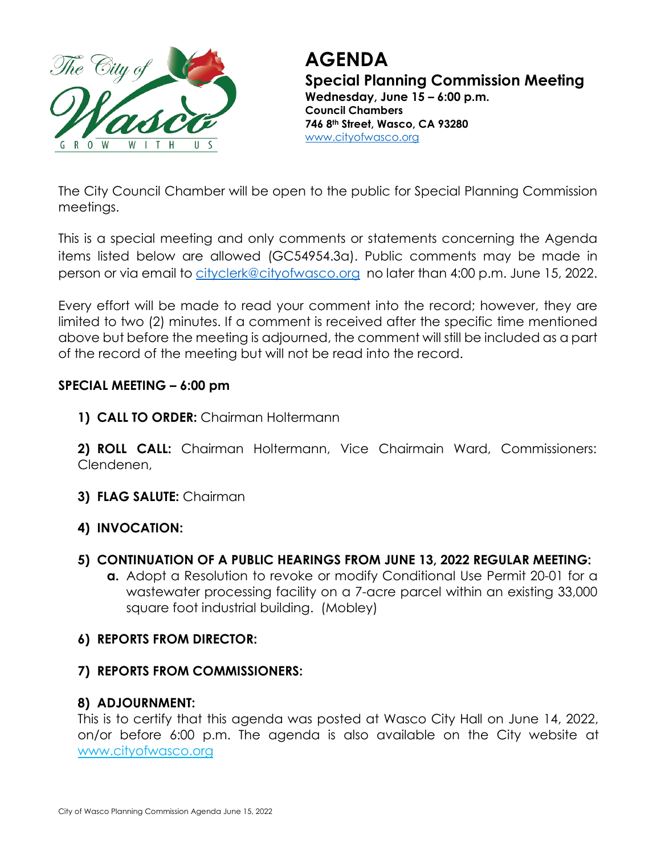

# **AGENDA Special Planning Commission Meeting Wednesday, June 15 – 6:00 p.m. Council Chambers**

**746 8th Street, Wasco, CA 93280** [www.cityofwasco.org](http://www.cityofwasco.org/)

The City Council Chamber will be open to the public for Special Planning Commission meetings.

This is a special meeting and only comments or statements concerning the Agenda items listed below are allowed (GC54954.3a). Public comments may be made in person or via email to [cityclerk@cityofwasco.org](mailto:cityclerk@cityofwasco.org) no later than 4:00 p.m. June 15, 2022.

Every effort will be made to read your comment into the record; however, they are limited to two (2) minutes. If a comment is received after the specific time mentioned above but before the meeting is adjourned, the comment will still be included as a part of the record of the meeting but will not be read into the record.

## **SPECIAL MEETING – 6:00 pm**

**1) CALL TO ORDER:** Chairman Holtermann

**2) ROLL CALL:** Chairman Holtermann, Vice Chairmain Ward, Commissioners: Clendenen,

**3) FLAG SALUTE:** Chairman

## **4) INVOCATION:**

- **5) CONTINUATION OF A PUBLIC HEARINGS FROM JUNE 13, 2022 REGULAR MEETING:**
	- **a.** Adopt a Resolution to revoke or modify Conditional Use Permit 20-01 for a wastewater processing facility on a 7-acre parcel within an existing 33,000 square foot industrial building. (Mobley)

### **6) REPORTS FROM DIRECTOR:**

**7) REPORTS FROM COMMISSIONERS:**

## **8) ADJOURNMENT:**

This is to certify that this agenda was posted at Wasco City Hall on June 14, 2022, on/or before 6:00 p.m. The agenda is also available on the City website at www.cityofwasco.org